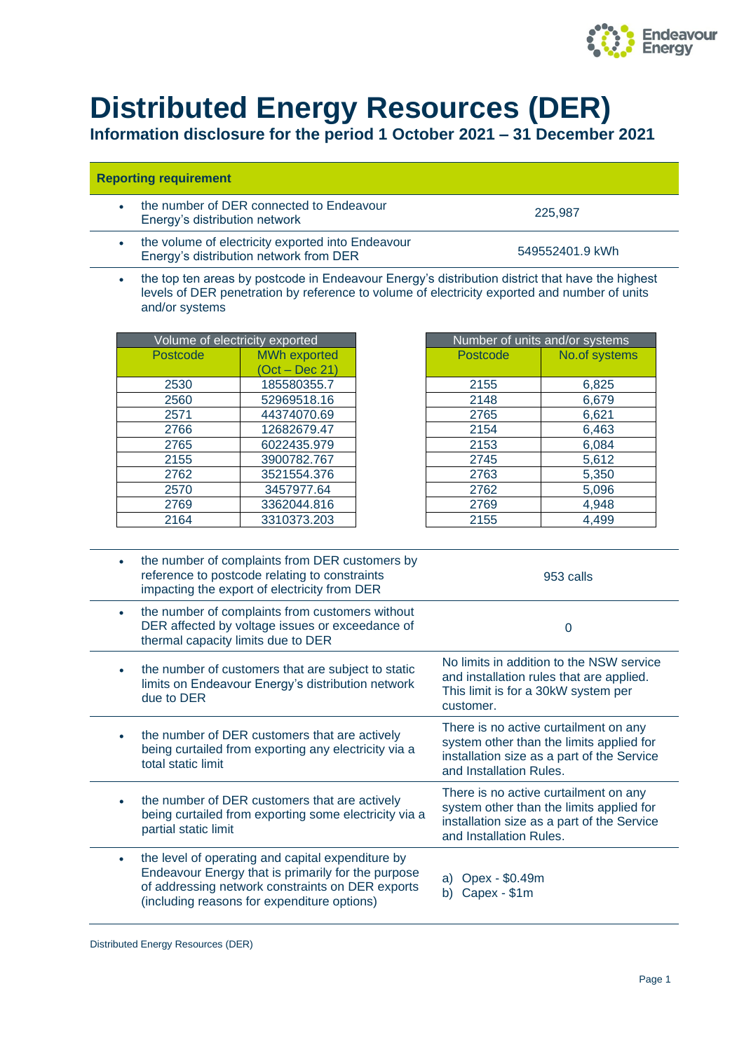

## **Distributed Energy Resources (DER)**

**Information disclosure for the period 1 October 2021 – 31 December 2021**

## **Reporting requirement**

• the number of DER connected to Endeavour Energy's distribution network 225,987

- the volume of electricity exported into Endeavour Energy's distribution network from DER 549552401.9 kWh
	- the top ten areas by postcode in Endeavour Energy's distribution district that have the highest levels of DER penetration by reference to volume of electricity exported and number of units and/or systems

| Volume of electricity exported |                     | Number of units and/or syste |            |
|--------------------------------|---------------------|------------------------------|------------|
| Postcode                       | <b>MWh exported</b> | <b>Postcode</b>              | No.of syst |
|                                | (Oct – Dec 21)      |                              |            |
| 2530                           | 185580355.7         | 2155                         | 6,825      |
| 2560                           | 52969518.16         | 2148                         | 6,679      |
| 2571                           | 44374070.69         | 2765                         | 6,621      |
| 2766                           | 12682679.47         | 2154                         | 6,463      |
| 2765                           | 6022435.979         | 2153                         | 6,084      |
| 2155                           | 3900782.767         | 2745                         | 5,612      |
| 2762                           | 3521554.376         | 2763                         | 5,350      |
| 2570                           | 3457977.64          | 2762                         | 5,096      |
| 2769                           | 3362044.816         | 2769                         | 4,948      |
| 2164                           | 3310373.203         | 2155                         | 4,499      |

| Volume of electricity exported |                     | Number of units and/or systems |               |
|--------------------------------|---------------------|--------------------------------|---------------|
| Postcode                       | <b>MWh exported</b> | Postcode                       | No.of systems |
|                                | (Oct – Dec 21)      |                                |               |
| 2530                           | 185580355.7         | 2155                           | 6,825         |
| 2560                           | 52969518.16         | 2148                           | 6,679         |
| 2571                           | 44374070.69         | 2765                           | 6,621         |
| 2766                           | 12682679.47         | 2154                           | 6,463         |
| 2765                           | 6022435.979         | 2153                           | 6,084         |
| 2155                           | 3900782.767         | 2745                           | 5,612         |
| 2762                           | 3521554.376         | 2763                           | 5,350         |
| 2570                           | 3457977.64          | 2762                           | 5,096         |
| 2769                           | 3362044.816         | 2769                           | 4,948         |
| 2164                           | 3310373.203         | 2155                           | 4,499         |

| the number of complaints from DER customers by<br>٠<br>reference to postcode relating to constraints<br>impacting the export of electricity from DER                                                            | 953 calls                                                                                                                                                  |  |
|-----------------------------------------------------------------------------------------------------------------------------------------------------------------------------------------------------------------|------------------------------------------------------------------------------------------------------------------------------------------------------------|--|
| the number of complaints from customers without<br>$\bullet$<br>DER affected by voltage issues or exceedance of<br>thermal capacity limits due to DER                                                           | 0                                                                                                                                                          |  |
| the number of customers that are subject to static<br>$\bullet$<br>limits on Endeavour Energy's distribution network<br>due to DER                                                                              | No limits in addition to the NSW service<br>and installation rules that are applied.<br>This limit is for a 30kW system per<br>customer.                   |  |
| the number of DER customers that are actively<br>being curtailed from exporting any electricity via a<br>total static limit                                                                                     | There is no active curtailment on any<br>system other than the limits applied for<br>installation size as a part of the Service<br>and Installation Rules. |  |
| the number of DER customers that are actively<br>$\bullet$<br>being curtailed from exporting some electricity via a<br>partial static limit                                                                     | There is no active curtailment on any<br>system other than the limits applied for<br>installation size as a part of the Service<br>and Installation Rules. |  |
| the level of operating and capital expenditure by<br>۰<br>Endeavour Energy that is primarily for the purpose<br>of addressing network constraints on DER exports<br>(including reasons for expenditure options) | Opex - \$0.49m<br>a)<br>Capex - \$1m<br>b)                                                                                                                 |  |

Distributed Energy Resources (DER)